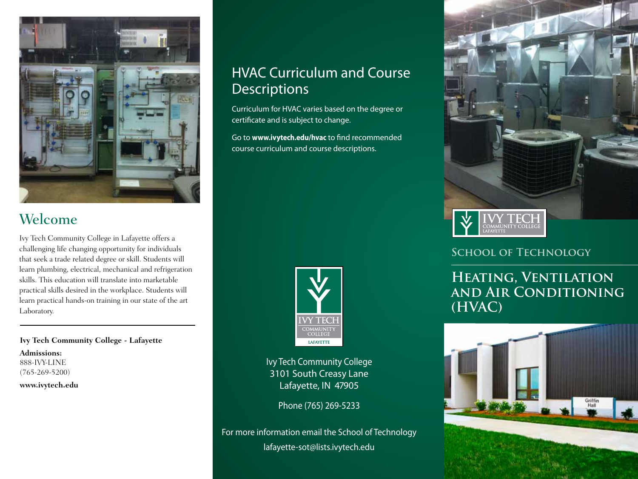

## Welcome

Ivy Tech Community College in Lafayette offers a challenging life changing opportunity for individuals that seek a trade related degree or skill. Students will learn plumbing, electrical, mechanical and refrigeration skills. This education will translate into marketable practical skills desired in the workplace. Students will learn practical hands-on training in our state of the art Laboratory.

**Ivy Tech Community College - Lafayette Admissions:** 888-IVY-LINE

(765-269-5200) **www.ivytech.edu**

## HVAC Curriculum and Course **Descriptions**

Curriculum for HVAC varies based on the degree or certificate and is subject to change.

Go to **www.ivytech.edu/hvac** to find recommended course curriculum and course descriptions.



Ivy Tech Community College 3101 South Creasy Lane Lafayette, IN 47905

Phone (765) 269-5233

For more information email the School of Technology lafayette-sot@lists.ivytech.edu



### **School of Technology**

## **Heating, Ventilation and Air Conditioning (HVAC)**